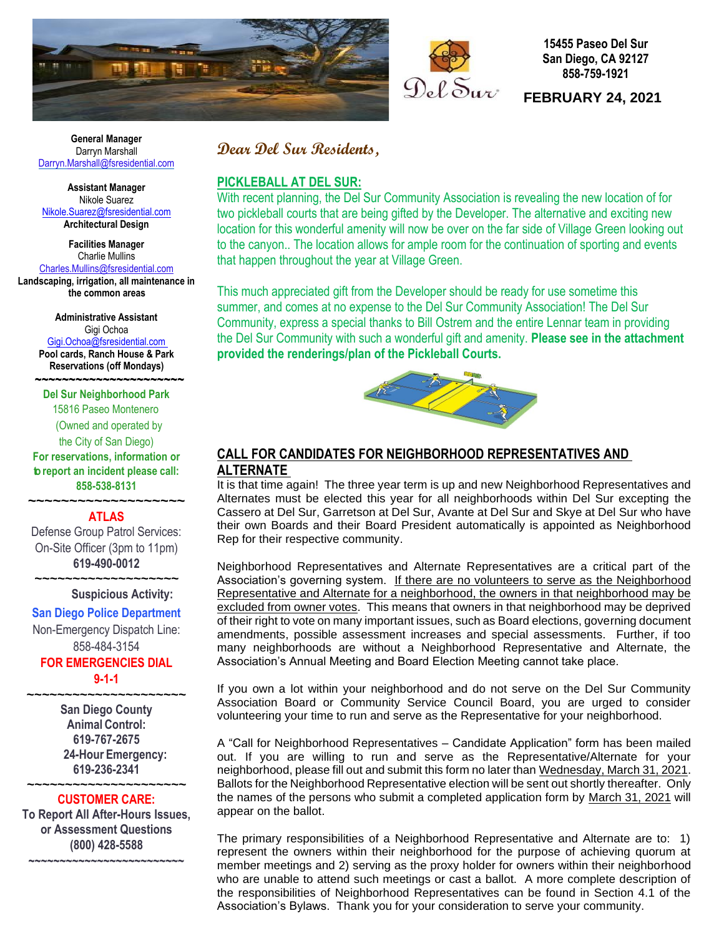



**15455 Paseo Del Sur San Diego, CA 92127 858-759-1921**

**FEBRUARY 24, 2021** 

 **General Manager** Darryn Marshall Darryn[.Ma](mailto:Darryn.Marshall@fsresidential.com)rshall@fsresidential.com

**Assistant Manager** Nikole Suarez [Nikole.Suarez@fsresidential.com](mailto:Nikole.Suarez@fsresidential.com) **Architectural Design**

**Facilities Manager** Charlie Mullins [Charles.Mullins@fsresidential.com](mailto:Charles.Mullins@fsresidential.com) **Landscaping, irrigation, all maintenance in the common areas**

> **Administrative Assistant**  Gigi Ochoa [Gigi.Ochoa@fsresidential.com](mailto:Gigi.Ochoa@fsresidential.com) **Pool cards, Ranch House & Park Reservations (off Mondays)**

**~~~~~~~~~~~~~~~~~~~~~~ Del Sur Neighborhood Park** 15816 Paseo Montenero (Owned and operated by the City of San Diego) **For reservations, information or to report an incident please call: 858-538-8131**

## **ATLAS** Defense Group Patrol Services: On-Site Officer (3pm to 11pm)

**~~~~~~~~~~~~~~~~~~~**

**619-490-0012**

**~~~~~~~~~~~~~~~~~~~ Suspicious Activity:**

## **San Diego Police Department**

Non-Emergency Dispatch Line: 858-484-3154

## **FOR EMERGENCIES DIAL 9-1-1**

**~~~~~~~~~~~~~~~~~~~~~ San Diego County Animal Control: 619-767-2675 24-Hour Emergency: 619-236-2341**

### **~~~~~~~~~~~~~~~~~~~~~ CUSTOMER CARE:**

**To Report All After-Hours Issues, or Assessment Questions (800) 428-5588**

**~~~~~~~~~~~~~~~~~~~~~~~~~**

# **Dear Del Sur Residents,**

## **PICKLEBALL AT DEL SUR:**

With recent planning, the Del Sur Community Association is revealing the new location of for two pickleball courts that are being gifted by the Developer. The alternative and exciting new location for this wonderful amenity will now be over on the far side of Village Green looking out to the canyon. The location allows for ample room for the continuation of sporting and events that happen throughout the year at Village Green.

This much appreciated gift from the Developer should be ready for use sometime this summer, and comes at no expense to the Del Sur Community Association! The Del Sur Community, express a special thanks to Bill Ostrem and the entire Lennar team in providing the Del Sur Community with such a wonderful gift and amenity. **Please see in the attachment provided the renderings/plan of the Pickleball Courts.** 



# **CALL FOR CANDIDATES FOR NEIGHBORHOOD REPRESENTATIVES AND ALTERNATE**

It is that time again! The three year term is up and new Neighborhood Representatives and Alternates must be elected this year for all neighborhoods within Del Sur excepting the Cassero at Del Sur, Garretson at Del Sur, Avante at Del Sur and Skye at Del Sur who have their own Boards and their Board President automatically is appointed as Neighborhood Rep for their respective community.

Neighborhood Representatives and Alternate Representatives are a critical part of the Association's governing system. If there are no volunteers to serve as the Neighborhood Representative and Alternate for a neighborhood, the owners in that neighborhood may be excluded from owner votes. This means that owners in that neighborhood may be deprived of their right to vote on many important issues, such as Board elections, governing document amendments, possible assessment increases and special assessments. Further, if too many neighborhoods are without a Neighborhood Representative and Alternate, the Association's Annual Meeting and Board Election Meeting cannot take place.

If you own a lot within your neighborhood and do not serve on the Del Sur Community Association Board or Community Service Council Board, you are urged to consider volunteering your time to run and serve as the Representative for your neighborhood.

A "Call for Neighborhood Representatives – Candidate Application" form has been mailed out. If you are willing to run and serve as the Representative/Alternate for your neighborhood, please fill out and submit this form no later than Wednesday, March 31, 2021. Ballots for the Neighborhood Representative election will be sent out shortly thereafter. Only the names of the persons who submit a completed application form by March 31, 2021 will appear on the ballot.

The primary responsibilities of a Neighborhood Representative and Alternate are to: 1) represent the owners within their neighborhood for the purpose of achieving quorum at member meetings and 2) serving as the proxy holder for owners within their neighborhood who are unable to attend such meetings or cast a ballot. A more complete description of the responsibilities of Neighborhood Representatives can be found in Section 4.1 of the Association's Bylaws. Thank you for your consideration to serve your community.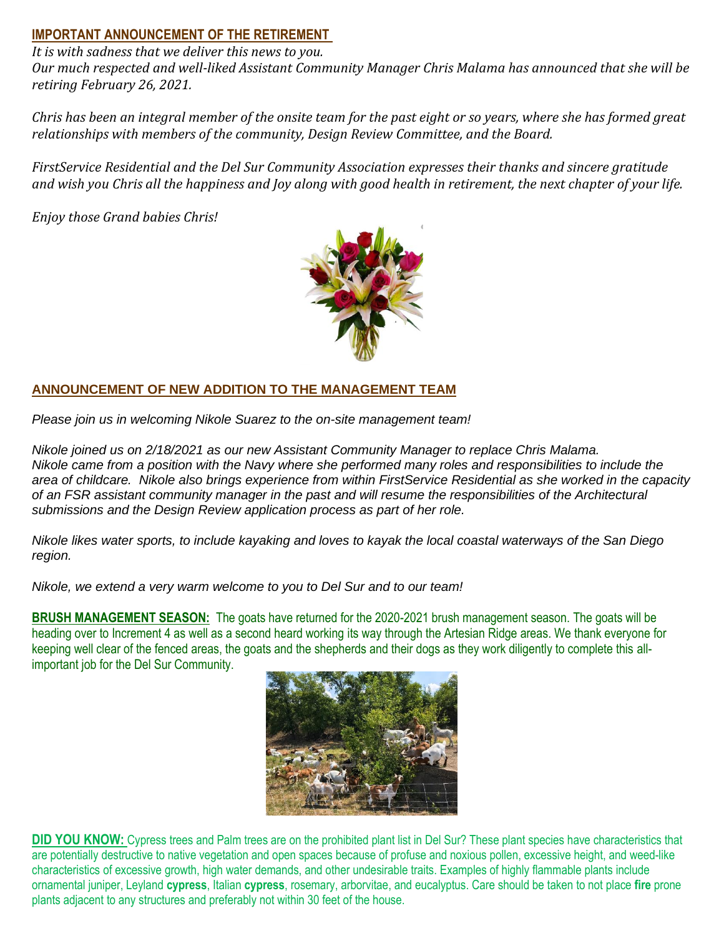# **IMPORTANT ANNOUNCEMENT OF THE RETIREMENT**

*It is with sadness that we deliver this news to you.*

*Our much respected and well-liked Assistant Community Manager Chris Malama has announced that she will be retiring February 26, 2021.*

Chris has been an integral member of the onsite team for the past eight or so years, where she has formed great *relationships with members of the community, Design Review Committee, and the Board.*

*FirstService Residential and the Del Sur Community Association expresses their thanks and sincere gratitude* and wish you Chris all the happiness and Joy along with good health in retirement, the next chapter of your life.

*Enjoy those Grand babies Chris!*



# **ANNOUNCEMENT OF NEW ADDITION TO THE MANAGEMENT TEAM**

*Please join us in welcoming Nikole Suarez to the on-site management team!*

*Nikole joined us on 2/18/2021 as our new Assistant Community Manager to replace Chris Malama.* Nikole came from a position with the Navy where she performed many roles and responsibilities to include the area of childcare. Nikole also brings experience from within FirstService Residential as she worked in the capacity of an FSR assistant community manager in the past and will resume the responsibilities of the Architectural *submissions and the Design Review application process as part of her role.*

Nikole likes water sports, to include kayaking and loves to kayak the local coastal waterways of the San Diego *region.*

*Nikole, we extend a very warm welcome to you to Del Sur and to our team!*

**BRUSH MANAGEMENT SEASON:** The goats have returned for the 2020-2021 brush management season. The goats will be heading over to Increment 4 as well as a second heard working its way through the Artesian Ridge areas. We thank everyone for keeping well clear of the fenced areas, the goats and the shepherds and their dogs as they work diligently to complete this allimportant job for the Del Sur Community.



**DID YOU KNOW:** Cypress trees and Palm trees are on the prohibited plant list in Del Sur? These plant species have characteristics that are potentially destructive to native vegetation and open spaces because of profuse and noxious pollen, excessive height, and weed-like characteristics of excessive growth, high water demands, and other undesirable traits. Examples of highly flammable plants include ornamental juniper, Leyland **cypress**, Italian **cypress**, rosemary, arborvitae, and eucalyptus. Care should be taken to not place **fire** prone plants adjacent to any structures and preferably not within 30 feet of the house.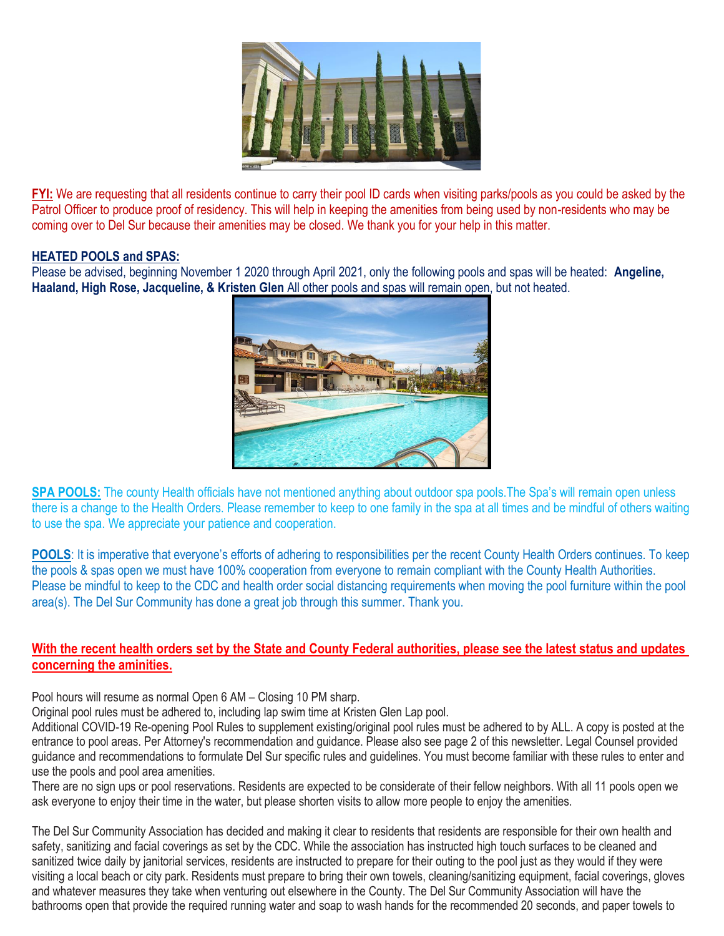

**FYI:** We are requesting that all residents continue to carry their pool ID cards when visiting parks/pools as you could be asked by the Patrol Officer to produce proof of residency. This will help in keeping the amenities from being used by non-residents who may be coming over to Del Sur because their amenities may be closed. We thank you for your help in this matter.

## **HEATED POOLS and SPAS:**

Please be advised, beginning November 1 2020 through April 2021, only the following pools and spas will be heated: **Angeline, Haaland, High Rose, Jacqueline, & Kristen Glen** All other pools and spas will remain open, but not heated.



**SPA POOLS:** The county Health officials have not mentioned anything about outdoor spa pools. The Spa's will remain open unless there is a change to the Health Orders. Please remember to keep to one family in the spa at all times and be mindful of others waiting to use the spa. We appreciate your patience and cooperation.

**POOLS:** It is imperative that everyone's efforts of adhering to responsibilities per the recent County Health Orders continues. To keep the pools & spas open we must have 100% cooperation from everyone to remain compliant with the County Health Authorities. Please be mindful to keep to the CDC and health order social distancing requirements when moving the pool furniture within the pool area(s). The Del Sur Community has done a great job through this summer. Thank you.

## **With the recent health orders set by the State and County Federal authorities, please see the latest status and updates concerning the aminities.**

Pool hours will resume as normal Open 6 AM – Closing 10 PM sharp.

Original pool rules must be adhered to, including lap swim time at Kristen Glen Lap pool.

Additional COVID-19 Re-opening Pool Rules to supplement existing/original pool rules must be adhered to by ALL. A copy is posted at the entrance to pool areas. Per Attorney's recommendation and guidance. Please also see page 2 of this newsletter. Legal Counsel provided guidance and recommendations to formulate Del Sur specific rules and guidelines. You must become familiar with these rules to enter and use the pools and pool area amenities.

There are no sign ups or pool reservations. Residents are expected to be considerate of their fellow neighbors. With all 11 pools open we ask everyone to enjoy their time in the water, but please shorten visits to allow more people to enjoy the amenities.

The Del Sur Community Association has decided and making it clear to residents that residents are responsible for their own health and safety, sanitizing and facial coverings as set by the CDC. While the association has instructed high touch surfaces to be cleaned and sanitized twice daily by janitorial services, residents are instructed to prepare for their outing to the pool just as they would if they were visiting a local beach or city park. Residents must prepare to bring their own towels, cleaning/sanitizing equipment, facial coverings, gloves and whatever measures they take when venturing out elsewhere in the County. The Del Sur Community Association will have the bathrooms open that provide the required running water and soap to wash hands for the recommended 20 seconds, and paper towels to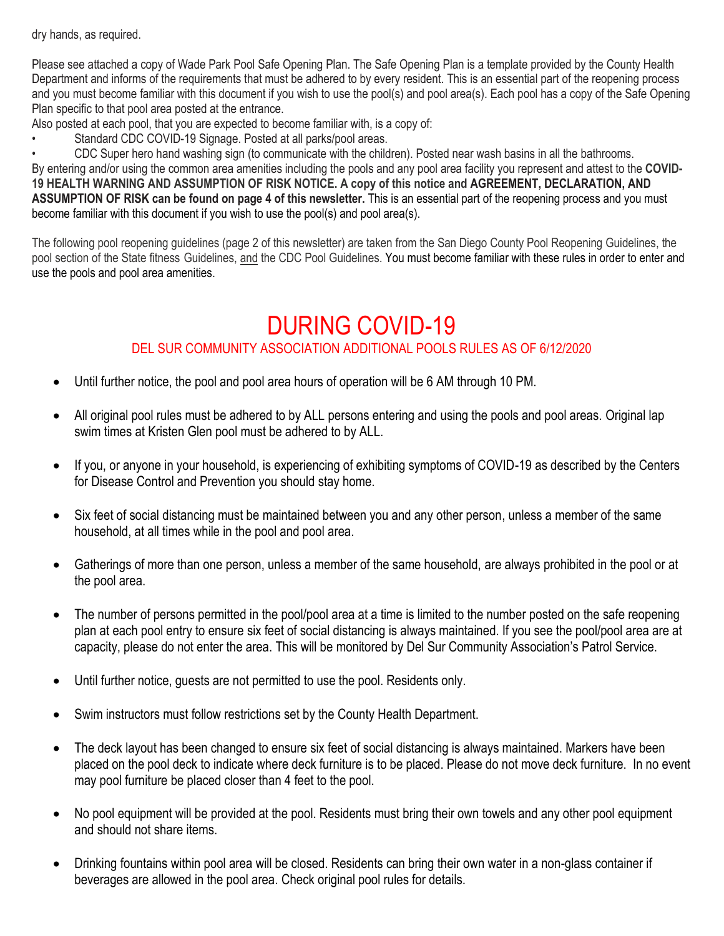dry hands, as required.

Please see attached a copy of Wade Park Pool Safe Opening Plan. The Safe Opening Plan is a template provided by the County Health Department and informs of the requirements that must be adhered to by every resident. This is an essential part of the reopening process and you must become familiar with this document if you wish to use the pool(s) and pool area(s). Each pool has a copy of the Safe Opening Plan specific to that pool area posted at the entrance.

Also posted at each pool, that you are expected to become familiar with, is a copy of:

Standard CDC COVID-19 Signage. Posted at all parks/pool areas.

• CDC Super hero hand washing sign (to communicate with the children). Posted near wash basins in all the bathrooms. By entering and/or using the common area amenities including the pools and any pool area facility you represent and attest to the **COVID-19 HEALTH WARNING AND ASSUMPTION OF RISK NOTICE. A copy of this notice and AGREEMENT, DECLARATION, AND ASSUMPTION OF RISK can be found on page 4 of this newsletter.** This is an essential part of the reopening process and you must become familiar with this document if you wish to use the pool(s) and pool area(s).

The following pool reopening guidelines (page 2 of this newsletter) are taken from the San Diego County Pool Reopening Guidelines, the pool section of the State fitness Guidelines, and the CDC Pool Guidelines. You must become familiar with these rules in order to enter and use the pools and pool area amenities.

# DURING COVID-19

# DEL SUR COMMUNITY ASSOCIATION ADDITIONAL POOLS RULES AS OF 6/12/2020

- Until further notice, the pool and pool area hours of operation will be 6 AM through 10 PM.
- All original pool rules must be adhered to by ALL persons entering and using the pools and pool areas. Original lap swim times at Kristen Glen pool must be adhered to by ALL.
- If you, or anyone in your household, is experiencing of exhibiting symptoms of COVID-19 as described by the Centers for Disease Control and Prevention you should stay home.
- Six feet of social distancing must be maintained between you and any other person, unless a member of the same household, at all times while in the pool and pool area.
- Gatherings of more than one person, unless a member of the same household, are always prohibited in the pool or at the pool area.
- The number of persons permitted in the pool/pool area at a time is limited to the number posted on the safe reopening plan at each pool entry to ensure six feet of social distancing is always maintained. If you see the pool/pool area are at capacity, please do not enter the area. This will be monitored by Del Sur Community Association's Patrol Service.
- Until further notice, guests are not permitted to use the pool. Residents only.
- Swim instructors must follow restrictions set by the County Health Department.
- The deck layout has been changed to ensure six feet of social distancing is always maintained. Markers have been placed on the pool deck to indicate where deck furniture is to be placed. Please do not move deck furniture. In no event may pool furniture be placed closer than 4 feet to the pool.
- No pool equipment will be provided at the pool. Residents must bring their own towels and any other pool equipment and should not share items.
- Drinking fountains within pool area will be closed. Residents can bring their own water in a non-glass container if beverages are allowed in the pool area. Check original pool rules for details.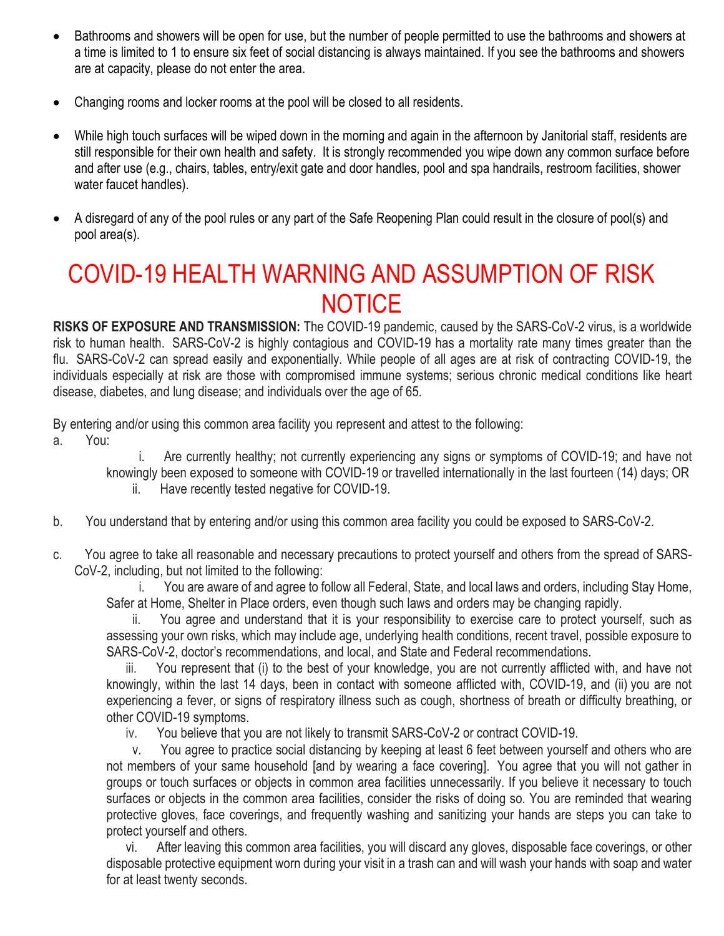- Bathrooms and showers will be open for use, but the number of people permitted to use the bathrooms and showers at a time is limited to 1 to ensure six feet of social distancing is always maintained. If you see the bathrooms and showers are at capacity, please do not enter the area.
- Changing rooms and locker rooms at the pool will be closed to all residents.
- While high touch surfaces will be wiped down in the morning and again in the afternoon by Janitorial staff, residents are still responsible for their own health and safety. It is strongly recommended you wipe down any common surface before and after use (e.g., chairs, tables, entry/exit gate and door handles, pool and spa handrails, restroom facilities, shower water faucet handles).
- A disregard of any of the pool rules or any part of the Safe Reopening Plan could result in the closure of pool(s) and pool area(s).

# COVID-19 HEALTH WARNING AND ASSUMPTION OF RISK **NOTICE**

**RISKS OF EXPOSURE AND TRANSMISSION:** The COVID-19 pandemic, caused by the SARS-CoV-2 virus, is a worldwide risk to human health. SARS-CoV-2 is highly contagious and COVID-19 has a mortality rate many times greater than the flu. SARS-CoV-2 can spread easily and exponentially. While people of all ages are at risk of contracting COVID-19, the individuals especially at risk are those with compromised immune systems; serious chronic medical conditions like heart disease, diabetes, and lung disease; and individuals over the age of 65.

By entering and/or using this common area facility you represent and attest to the following:

a. You:

i. Are currently healthy; not currently experiencing any signs or symptoms of COVID-19; and have not knowingly been exposed to someone with COVID-19 or travelled internationally in the last fourteen (14) days; OR ii. Have recently tested negative for COVID-19.

- b. You understand that by entering and/or using this common area facility you could be exposed to SARS-CoV-2.
- c. You agree to take all reasonable and necessary precautions to protect yourself and others from the spread of SARS-CoV-2, including, but not limited to the following:

i. You are aware of and agree to follow all Federal, State, and local laws and orders, including Stay Home, Safer at Home, Shelter in Place orders, even though such laws and orders may be changing rapidly.

ii. You agree and understand that it is your responsibility to exercise care to protect yourself, such as assessing your own risks, which may include age, underlying health conditions, recent travel, possible exposure to SARS-CoV-2, doctor's recommendations, and local, and State and Federal recommendations.

iii. You represent that (i) to the best of your knowledge, you are not currently afflicted with, and have not knowingly, within the last 14 days, been in contact with someone afflicted with, COVID-19, and (ii) you are not experiencing a fever, or signs of respiratory illness such as cough, shortness of breath or difficulty breathing, or other COVID-19 symptoms.

iv. You believe that you are not likely to transmit SARS-CoV-2 or contract COVID-19.

v. You agree to practice social distancing by keeping at least 6 feet between yourself and others who are not members of your same household [and by wearing a face covering]. You agree that you will not gather in groups or touch surfaces or objects in common area facilities unnecessarily. If you believe it necessary to touch surfaces or objects in the common area facilities, consider the risks of doing so. You are reminded that wearing protective gloves, face coverings, and frequently washing and sanitizing your hands are steps you can take to protect yourself and others.

vi. After leaving this common area facilities, you will discard any gloves, disposable face coverings, or other disposable protective equipment worn during your visit in a trash can and will wash your hands with soap and water for at least twenty seconds.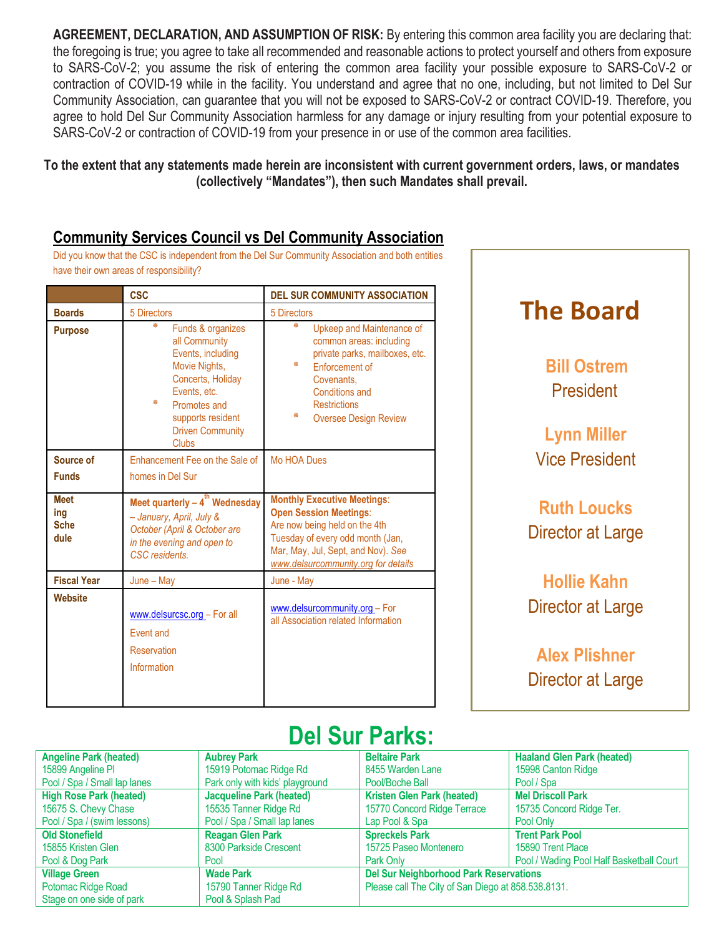**AGREEMENT, DECLARATION, AND ASSUMPTION OF RISK:** By entering this common area facility you are declaring that: the foregoing is true; you agree to take all recommended and reasonable actions to protect yourself and others from exposure to SARS-CoV-2; you assume the risk of entering the common area facility your possible exposure to SARS-CoV-2 or contraction of COVID-19 while in the facility. You understand and agree that no one, including, but not limited to Del Sur Community Association, can guarantee that you will not be exposed to SARS-CoV-2 or contract COVID-19. Therefore, you agree to hold Del Sur Community Association harmless for any damage or injury resulting from your potential exposure to SARS-CoV-2 or contraction of COVID-19 from your presence in or use of the common area facilities.

To the extent that any statements made herein are inconsistent with current government orders, laws, or mandates **(collectively "Mandates"), then such Mandates shall prevail.**

# **Community Services Council vs Del Community Association**

Did you know that the CSC is independent from the Del Sur Community Association and both entities have their own areas of responsibility?

|                                           | <b>CSC</b>                                                                                                                                                                                              | <b>DEL SUR COMMUNITY ASSOCIATION</b>                                                                                                                                                                                  |  |  |
|-------------------------------------------|---------------------------------------------------------------------------------------------------------------------------------------------------------------------------------------------------------|-----------------------------------------------------------------------------------------------------------------------------------------------------------------------------------------------------------------------|--|--|
| <b>Boards</b>                             | 5 Directors                                                                                                                                                                                             | 5 Directors                                                                                                                                                                                                           |  |  |
| <b>Purpose</b>                            | 柴<br>Funds & organizes<br>all Community<br>Events, including<br>Movie Nights,<br>Concerts, Holiday<br>Events, etc.<br>崇<br>Promotes and<br>supports resident<br><b>Driven Community</b><br><b>Clubs</b> | 鉴<br>Upkeep and Maintenance of<br>common areas: including<br>private parks, mailboxes, etc.<br>∗<br><b>Enforcement of</b><br>Covenants.<br>Conditions and<br><b>Restrictions</b><br>₩<br><b>Oversee Design Review</b> |  |  |
| Source of                                 | Enhancement Fee on the Sale of                                                                                                                                                                          | Mo HOA Dues                                                                                                                                                                                                           |  |  |
| <b>Funds</b>                              | homes in Del Sur                                                                                                                                                                                        |                                                                                                                                                                                                                       |  |  |
| <b>Meet</b><br>ing<br><b>Sche</b><br>dule | Meet quarterly $-4^{th}$ Wednesday<br>- January, April, July &<br>October (April & October are<br>in the evening and open to<br>CSC residents.                                                          | <b>Monthly Executive Meetings:</b><br><b>Open Session Meetings:</b><br>Are now being held on the 4th<br>Tuesday of every odd month (Jan,<br>Mar, May, Jul, Sept, and Nov). See<br>www.delsurcommunity.org for details |  |  |
| <b>Fiscal Year</b>                        | $June - May$                                                                                                                                                                                            | June - May                                                                                                                                                                                                            |  |  |
| <b>Website</b>                            | www.delsurcsc.org - For all<br>Fvent and<br>Reservation<br>Information                                                                                                                                  | www.delsurcommunity.org - For<br>all Association related Information                                                                                                                                                  |  |  |



# **Del Sur Parks:**

| <b>Angeline Park (heated)</b>  | <b>Aubrey Park</b>              | <b>Beltaire Park</b>                               | <b>Haaland Glen Park (heated)</b>        |
|--------------------------------|---------------------------------|----------------------------------------------------|------------------------------------------|
| 15899 Angeline PI              | 15919 Potomac Ridge Rd          | 8455 Warden Lane                                   | 15998 Canton Ridge                       |
| Pool / Spa / Small lap lanes   | Park only with kids' playground | Pool/Boche Ball                                    | Pool / Spa                               |
| <b>High Rose Park (heated)</b> | <b>Jacqueline Park (heated)</b> | <b>Kristen Glen Park (heated)</b>                  | <b>Mel Driscoll Park</b>                 |
| 15675 S. Chevy Chase           | 15535 Tanner Ridge Rd           | 15770 Concord Ridge Terrace                        | 15735 Concord Ridge Ter.                 |
| Pool / Spa / (swim lessons)    | Pool / Spa / Small lap lanes    | Lap Pool & Spa                                     | Pool Only                                |
| <b>Old Stonefield</b>          | <b>Reagan Glen Park</b>         | <b>Spreckels Park</b>                              | <b>Trent Park Pool</b>                   |
| 15855 Kristen Glen             | 8300 Parkside Crescent          | 15725 Paseo Montenero                              | 15890 Trent Place                        |
| Pool & Dog Park                | Pool                            | Park Only                                          | Pool / Wading Pool Half Basketball Court |
| <b>Village Green</b>           | <b>Wade Park</b>                | <b>Del Sur Neighborhood Park Reservations</b>      |                                          |
| Potomac Ridge Road             | 15790 Tanner Ridge Rd           | Please call The City of San Diego at 858.538.8131. |                                          |
| Stage on one side of park      | Pool & Splash Pad               |                                                    |                                          |